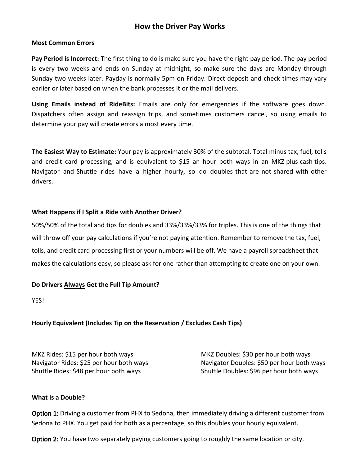# How the Driver Pay Works

# Most Common Errors

Pay Period is Incorrect: The first thing to do is make sure you have the right pay period. The pay period is every two weeks and ends on Sunday at midnight, so make sure the days are Monday through Sunday two weeks later. Payday is normally 5pm on Friday. Direct deposit and check times may vary earlier or later based on when the bank processes it or the mail delivers.

Using Emails instead of RideBits: Emails are only for emergencies if the software goes down. Dispatchers often assign and reassign trips, and sometimes customers cancel, so using emails to determine your pay will create errors almost every time.

The Easiest Way to Estimate**:** Your pay is approximately 30% of the subtotal. Total minus tax, fuel, tolls and credit card processing, and is equivalent to \$15 an hour both ways in an MKZ plus cash tips. Navigator and Shuttle rides have a higher hourly, so do doubles that are not shared with other drivers.

#### What Happens if I Split a Ride with Another Driver?

50%/50% of the total and tips for doubles and 33%/33%/33% for triples. This is one of the things that will throw off your pay calculations if you're not paying attention. Remember to remove the tax, fuel, tolls, and credit card processing first or your numbers will be off. We have a payroll spreadsheet that makes the calculations easy, so please ask for one rather than attempting to create one on your own.

#### Do Drivers Always Get the Full Tip Amount?

YES!

# Hourly Equivalent (Includes Tip on the Reservation **/ Excludes Cash Tips**)

MKZ Rides: \$15 per hour both ways MKZ Doubles: \$30 per hour both ways Shuttle Rides: \$48 per hour both ways Shuttle Doubles: \$96 per hour both ways

Navigator Rides: \$25 per hour both ways Navigator Doubles: \$50 per hour both ways

# What is a Double?

Option 1: Driving a customer from PHX to Sedona, then immediately driving a different customer from Sedona to PHX. You get paid for both as a percentage, so this doubles your hourly equivalent.

Option 2: You have two separately paying customers going to roughly the same location or city.